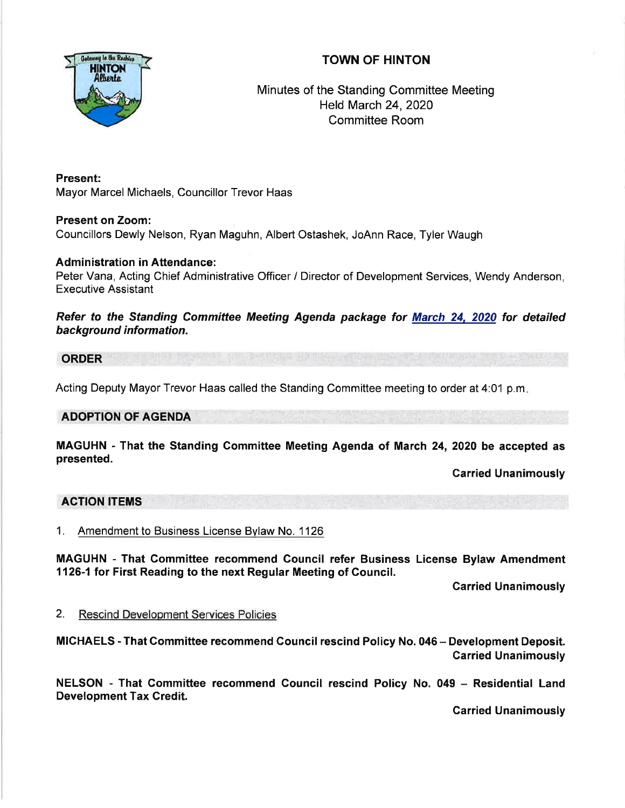# TOWN OF HINTON



Minutes of the Standing Committee Meeting Held March 24,2020 Committee Room

Present: Mayor Marcel Michaels, Councillor Trevor Haas

Present on Zoom: Councillors Dewly Nelson, Ryan Maguhn, Albert Ostashek, JoAnn Race, Tyler Waugh

## Administration in Attendance:

Peter Vana, Acting Chief Administrative Officer / Director of Development Services, Wendy Anderson, Executive Assistant

Refer to the Standing Committee Meeting Agenda package for March 24. 2020 for detailed background information.

ORDER

Acting Deputy Mayor Trevor Haas called the Standing Committee meeting to order at 4:01 p.m

### ADOPTION OF AGENDA

MAGUHN - That the Standing Committee Meeting Agenda of March 24,2020 be accepted as presented.

Carried Unanimously

#### ACTION ITEMS

<sup>1</sup>. Amendment to Business License Bylaw No. 1 <sup>126</sup>

MAGUHN - That Committee recommend Gouncil refer Business License Bylaw Amendment 1126-1 for First Reading to the next Regular Meeting of Council.

Garried Unanimously

2. Rescind Development Services Policies

MICHAELS - That Gommittee recommend Council rescind Policy No. 046 - Development Deposit. Carried Unanimously

NELSON - That Committee recommend Council rescind Policy No. 049 - Residential Land Development Tax Credit.

Garried Unanimously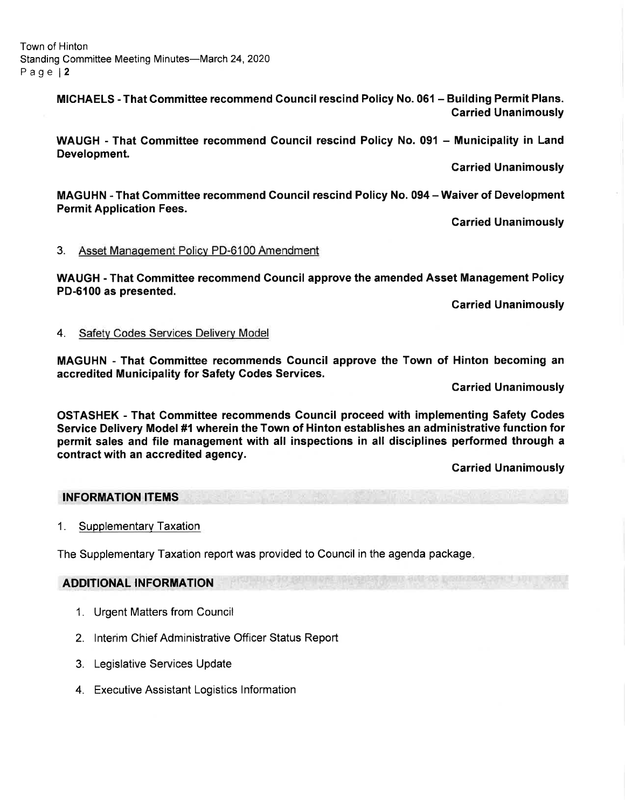Town of Hinton Standing Committee Meeting Minutes-March 24, 2020 Page l2

> MICHAELS - That Gommittee recommend Council rescind Policy No. 061 - Building Permit Plans. Garried Unanimously

> WAUGH - That Committee recommend Council rescind Policy No. 091 - Municipality in Land Development.

> > Garried Unanimously

MAGUHN - That Gommittee recommend Gouncil rescind Policy No. 094 - Waiver of Development Permit Application Fees.

Carried Unanimously

#### 3. Asset Management Policv PD-6100 Amendment

WAUGH - That Gommittee recommend Council approve the amended Asset Management Policy PD-6100 as presented.

Garried Unanimously

#### 4. Safety Codes Services Delivery Model

MAGUHN - That Committee recommends Gouncil approve the Town of Hinton becoming an accredited Municipality for Safety Codes Services.

Garried Unanimously

OSTASHEK - That Committee recommends Gouncil proceed with implementing Safety Godes Service Delivery Model#1 wherein the Town of Hinton establishes an administrative function for permit sales and file management with all inspections in all disciplines performed through a contract with an accredited agency.

Garried Unanimously

#### INFORMATION ITEMS

1. Supplementary Taxation

The Supplementary Taxation report was provided to Council in the agenda package

### ADDITIONAL INFORMATION

- 1. Urgent Matters from Council
- 2. lnterim Chief Administrative Officer Status Report
- 3. Legislative Services Update
- 4. Executive Assistant Logistics lnformation